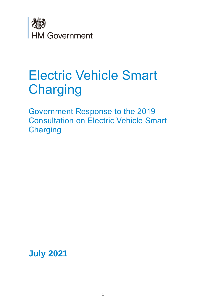

# Electric Vehicle Smart **Charging**

 Government Response to the 2019 Consultation on Electric Vehicle Smart **Charging** 

**July 2021**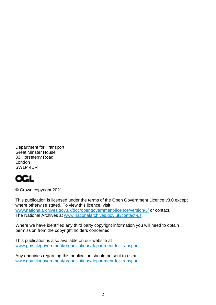Department for Transport Great Minster House 33 Horseferry Road London SW1P 4DR



© Crown copyright 2021

This publication is licensed under the terms of the Open Government Licence v3.0 except where otherwise stated. To view this licence, visit [www.nationalarchives.gov.uk/doc/opengovernment-licence/version/3/](http://www.nationalarchives.gov.uk/doc/open-government-licence/version/3/) or contact, The National Archives at [www.nationalarchives.gov.uk/contact-us.](http://www.nationalarchives.gov.uk/contact-us)

 Where we have identified any third party copyright information you will need to obtain permission from the copyright holders concerned.

This publication is also available on our website at [www.gov.uk/government/organisations/department-for-transport](http://www.gov.uk/government/organisations/department-for-transport) 

Any enquiries regarding this publication should be sent to us at [www.gov.uk/government/organisations/department-for-transport](http://www.gov.uk/government/organisations/department-for-transport)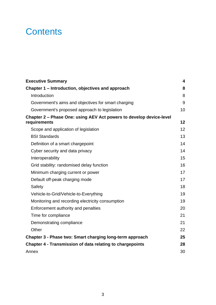## **Contents**

| <b>Executive Summary</b>                                                            | 4               |
|-------------------------------------------------------------------------------------|-----------------|
| Chapter 1 – Introduction, objectives and approach                                   | 8               |
| Introduction                                                                        | 8               |
| Government's aims and objectives for smart charging                                 | 9               |
| Government's proposed approach to legislation                                       | 10              |
| Chapter 2 – Phase One: using AEV Act powers to develop device-level<br>requirements | 12              |
| Scope and application of legislation                                                | 12 <sup>2</sup> |
| <b>BSI Standards</b>                                                                | 13              |
| Definition of a smart chargepoint                                                   | 14              |
| Cyber security and data privacy                                                     | 14              |
| Interoperability                                                                    | 15              |
| Grid stability: randomised delay function                                           | 16              |
| Minimum charging current or power                                                   | 17              |
| Default off-peak charging mode                                                      | 17              |
| Safety                                                                              | 18              |
| Vehicle-to-Grid/Vehicle-to-Everything                                               | 19              |
| Monitoring and recording electricity consumption                                    | 19              |
| Enforcement authority and penalties                                                 | 20              |
| Time for compliance                                                                 | 21              |
| Demonstrating compliance                                                            | 21              |
| Other                                                                               | 22              |
| Chapter 3 - Phase two: Smart charging long-term approach                            | 25              |
| <b>Chapter 4 - Transmission of data relating to chargepoints</b>                    | 28              |
| Annex                                                                               | 30              |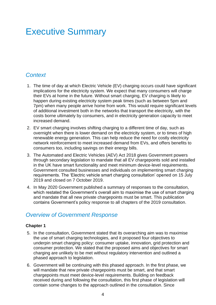## <span id="page-3-0"></span>Executive Summary

## *Context*

- 1. The time of day at which Electric Vehicle (EV) charging occurs could have significant implications for the electricity system. We expect that many consumers will charge their EVs at home in the future. Without smart charging, EV charging is likely to happen during existing electricity system peak times (such as between 5pm and 7pm) when many people arrive home from work. This would require significant levels of additional investment both in the networks that transport the electricity, with the costs borne ultimately by consumers, and in electricity generation capacity to meet increased demand.
- 2. EV smart charging involves shifting charging to a different time of day, such as network reinforcement to meet increased demand from EVs, and offers benefits to overnight when there is lower demand on the electricity system, or to times of high renewable energy generation. This can help reduce the need for costly electricity consumers too, including savings on their energy bills.
- 2019 and closed on 7 October 2019. 3. The Automated and Electric Vehicles (AEV) Act 2018 gives Government powers through secondary legislation to mandate that all EV chargepoints sold and installed in the UK have smart functionality and meet minimum device-level requirements. Government consulted businesses and individuals on implementing smart charging requirements. The 'Electric vehicle smart charging consultation' opened on 15 July
- and mandate that all new private chargepoints must be smart. This publication contains Government's policy response to all chapters of the 2019 consultation. 4. In May 2020 Government published a summary of responses to the consultation, which restated the Government's overall aim to maximise the use of smart charging

### *Overview of Government Response*

#### **Chapter 1**

- 5. In the consultation, Government stated that its overarching aim was to maximise the use of smart charging technologies, and it proposed four objectives to charging are unlikely to be met without regulatory intervention and outlined a underpin smart charging policy: consumer uptake, innovation, grid protection and consumer protection. We stated that the proposed aims and objectives for smart phased approach to legislation.
- chargepoints must meet device-level requirements. Building on feedback contain some changes to the approach outlined in the consultation. Since 6. Government will be continuing with this phased approach. In the first phase, we will mandate that new private chargepoints must be smart, and that smart received during and following the consultation, this first phase of legislation will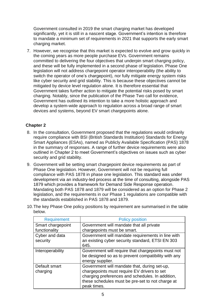Government consulted in 2019 the smart charging market has developed significantly, yet it is still in a nascent stage. Government's intention is therefore to mandate a minimum set of requirements in 2021 that supports the early smart charging market.

 legislation will not address chargepoint operator interoperability (the ability to develop a system-wide approach to regulation across a broad range of smart 7. However, we recognise that this market is expected to evolve and grow quickly in the coming years as more people purchase EVs. Government remains committed to delivering the four objectives that underpin smart charging policy, and these will be fully implemented in a second phase of legislation. Phase One switch the operator of one's chargepoint), nor fully mitigate energy system risks like cyber security and grid stability. This is because these objectives cannot be mitigated by device level regulation alone. It is therefore essential that Government takes further action to mitigate the potential risks posed by smart charging. Notably, since the publication of the Phase Two call for evidence, Government has outlined its intention to take a more holistic approach and devices and systems, beyond EV smart chargepoints alone.

#### **Chapter 2**

- 8. In the consultation, Government proposed that the regulations would ordinarily require compliance with BSI (British Standards Institution) Standards for Energy Smart Appliances (ESAs), named as Publicly Available Specification (PAS) 1878 in the summary of responses. A range of further device requirements were also outlined in Chapter 2 to meet Government's objectives on issues such as cyber security and grid stability.
- Mandating both PAS 1878 and 1879 will be considered as an option for Phase 2 9. Government will be setting smart chargepoint device requirements as part of Phase One legislation. However, Government will not be requiring full compliance with PAS 1878 in phase one legislation. This standard was under development via an industry-led process at the time of consulting, alongside PAS 1879 which provides a framework for Demand Side Response operation. legislation, and the requirements in our Phase 1 regulations are compatible with the standards established in PAS 1878 and 1879.

| Requirement                | <b>Policy position</b>                                                                                                                                                                                             |
|----------------------------|--------------------------------------------------------------------------------------------------------------------------------------------------------------------------------------------------------------------|
| Smart chargepoint          | Government will mandate that all private                                                                                                                                                                           |
| functionality              | chargepoints must be smart.                                                                                                                                                                                        |
| Cyber and data<br>security | Government will mandate requirements in line with<br>an existing cyber security standard, ETSI EN 303<br>645.                                                                                                      |
| Interoperability           | Government will require that chargepoints must not<br>be designed so as to prevent compatibility with any<br>energy supplier.                                                                                      |
| Default smart<br>charging  | Government will mandate that, during set-up,<br>chargepoints must require EV drivers to set<br>charging preferences and schedules. In addition,<br>these schedules must be pre-set to not charge at<br>peak times. |

10.The key Phase One policy positions by requirement are summarised in the table below.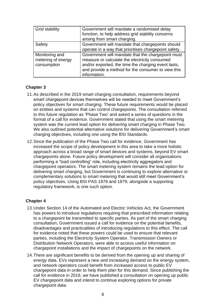| <b>Grid stability</b>                               | Government will mandate a randomised delay<br>function, to help address grid stability concerns<br>arising from smart charging.                                                                                                 |
|-----------------------------------------------------|---------------------------------------------------------------------------------------------------------------------------------------------------------------------------------------------------------------------------------|
| Safety                                              | Government will mandate that chargepoints should<br>operate in a way that prioritises chargepoint safety.                                                                                                                       |
| Monitoring and<br>metering of energy<br>consumption | Government will mandate that the chargepoint must<br>measure or calculate the electricity consumed<br>and/or exported, the time the charging event lasts,<br>and provide a method for the consumer to view this<br>information. |

#### **Chapter 3**

- smart chargepoint devices themselves will be needed to meet Government's to this future regulation as 'Phase Two' and asked a series of questions in the 11.As described in the 2019 smart charging consultation, requirements beyond policy objectives for smart charging. These future requirements would be placed on entities and systems that can control chargepoints. The consultation referred format of a call for evidence. Government stated that using the smart metering system was the current lead option for delivering smart charging in Phase Two. We also outlined potential alternative solutions for delivering Government's smart charging objectives, including one using the BSI Standards.
- 12.Since the publication of the Phase Two call for evidence, Government has increased the scope of policy development in this area to take a more holistic approach across a broad range of smart devices and systems, beyond EV smart delivering smart charging, but Government is continuing to explore alternative or chargepoints alone. Future policy development will consider all organisations performing a "load controlling" role, including electricity aggregators and chargepoint operators. The smart metering system remains the lead option for complementary solutions to smart metering that would still meet Government's policy objectives. Using BSI PAS 1878 and 1879, alongside a supporting regulatory framework, is one such option.

#### **Chapter 4**

- 13.Under Section 14 of the Automated and Electric Vehicles Act, the Government for evidence noted that these powers could be used to ensure that relevant has powers to introduce regulations requiring that prescribed information relating to a chargepoint be transmitted to specific parties. As part of the smart charging consultation, Government issued a call for evidence on the potential benefits, disadvantages and practicalities of introducing regulations to this effect. The call parties, including the Electricity System Operator, Transmission Owners or Distribution Network Operators, were able to access useful information on chargepoint installations and the impact of chargepoints on the network.
- 14.There are significant benefits to be derived from the opening up and sharing of chargepoint data in order to help them plan for this demand. Since publishing the energy data. EVs represent a new and increasing demand on the energy system, and network operators could benefit from increased access to public EV call for evidence in 2019, we have published a consultation on opening up public EV chargepoint data and intend to continue exploring options for private chargepoint data.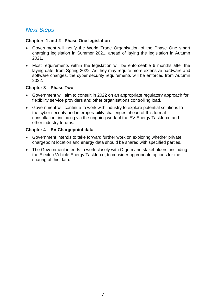### *Next Steps*

#### **Chapters 1 and 2 - Phase One legislation**

- • Government will notify the World Trade Organisation of the Phase One smart charging legislation in Summer 2021, ahead of laying the legislation in Autumn 2021.
- • Most requirements within the legislation will be enforceable 6 months after the laying date, from Spring 2022. As they may require more extensive hardware and software changes, the cyber security requirements will be enforced from Autumn 2022.

#### **Chapter 3 – Phase Two**

- Government will aim to consult in 2022 on an appropriate regulatory approach for flexibility service providers and other organisations controlling load.
- Government will continue to work with industry to explore potential solutions to the cyber security and interoperability challenges ahead of this formal consultation, including via the ongoing work of the EV Energy Taskforce and other industry forums.

#### **Chapter 4 – EV Chargepoint data**

- Government intends to take forward further work on exploring whether private chargepoint location and energy data should be shared with specified parties.
- The Government intends to work closely with Ofgem and stakeholders, including the Electric Vehicle Energy Taskforce, to consider appropriate options for the sharing of this data.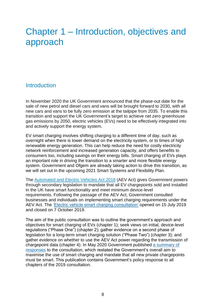## <span id="page-7-0"></span>Chapter 1 – Introduction, objectives and approach

#### <span id="page-7-1"></span>**Introduction**

 In November 2020 the UK Government announced that the phase-out date for the new cars and vans to be fully zero emission at the tailpipe from 2035. To enable this gas emissions by 2050, electric vehicles (EVs) need to be effectively integrated into sale of new petrol and diesel cars and vans will be brought forward to 2030, with all transition and support the UK Government's target to achieve net zero greenhouse and actively support the energy system.

 EV smart charging involves shifting charging to a different time of day, such as an important role in driving the transition to a smarter and more flexible energy system. Government and Ofgem are already taking action to drive this transition, as overnight when there is lower demand on the electricity system, or to times of high renewable energy generation. This can help reduce the need for costly electricity network reinforcement and increased generation capacity, and offers benefits to consumers too, including savings on their energy bills. Smart charging of EVs plays we will set out in the upcoming [2021](https://www.gov.uk/government/publications/upgrading-our-energy-system-smart-systems-and-flexibility-plan) Smart Systems and Flexibility Plan.

 and closed on 7 October 2019. The [Automated and Electric Vehicles Act 2018](https://www.legislation.gov.uk/ukpga/2018/18/contents/enacted) (AEV Act) gives Government powers through secondary legislation to mandate that all EV chargepoints sold and installed in the UK have smart functionality and meet minimum device-level requirements. Following the passage of the AEV Act, Government consulted businesses and individuals on implementing smart charging requirements under the AEV Act. The ['Electric vehicle smart charging consultation'](https://www.gov.uk/government/consultations/electric-vehicle-smart-charging) opened on 15 July 2019

The aim of the public consultation was to outline the government's approach and objectives for smart charging of EVs (chapter 1); seek views on initial, device-level regulations ("Phase One") (chapter 2); gather evidence on a second phase of legislation for a long-term smart charging solution ("Phase Two") (chapter 3); and gather evidence on whether to use the AEV Act power regarding the transmission of chargepoint data (chapter 4). In May 2020 Government published [a summary of](https://www.gov.uk/government/consultations/electric-vehicle-smart-charging/public-feedback/electric-vehicle-smart-charging-consultation-summary-of-responses#chapter-2---phase-one-using-the-aev-act-powers-to-develop-device-level-requirements)  [responses](https://www.gov.uk/government/consultations/electric-vehicle-smart-charging/public-feedback/electric-vehicle-smart-charging-consultation-summary-of-responses#chapter-2---phase-one-using-the-aev-act-powers-to-develop-device-level-requirements) to the consultation, which restated the Government's overall aim to maximise the use of smart charging and mandate that all new private chargepoints must be smart. This publication contains Government's policy response to all chapters of the 2019 consultation.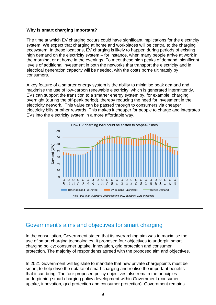#### **Why is smart charging important?**

 the morning, or at home in the evenings. To meet these high peaks of demand, significant The time at which EV charging occurs could have significant implications for the electricity system. We expect that charging at home and workplaces will be central to the charging ecosystem. In these locations, EV charging is likely to happen during periods of existing high demand on the electricity system – for instance, when many people arrive at work in levels of additional investment in both the networks that transport the electricity and in electrical generation capacity will be needed, with the costs borne ultimately by consumers.

 electricity network. This value can be passed through to consumers via cheaper electricity bills or other rewards. This makes it cheaper for people to charge and integrates A key feature of a smarter energy system is the ability to minimise peak demand and maximise the use of low-carbon renewable electricity, which is generated intermittently. EVs can support the transition to a smarter energy system by, for example, charging overnight (during the off-peak period), thereby reducing the need for investment in the EVs into the electricity system in a more affordable way.



### <span id="page-8-0"></span>Government's aims and objectives for smart charging

 protection. The majority of respondents agreed with the proposed aim and objectives. In the consultation, Government stated that its overarching aim was to maximise the use of smart charging technologies. It proposed four objectives to underpin smart charging policy: consumer uptake, innovation, grid protection and consumer

 smart, to help drive the uptake of smart charging and realise the important benefits In 2021 Government will legislate to mandate that new private chargepoints must be that it can bring. The four proposed policy objectives also remain the principles underpinning smart charging policy development within Government (consumer uptake, innovation, grid protection and consumer protection). Government remains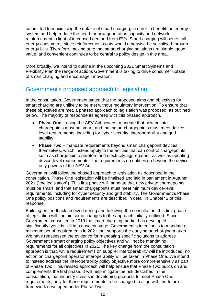committed to maximising the uptake of smart charging, in order to benefit the energy system and help reduce the need for new generation capacity and network reinforcement in light of increased demand from EVs. Smart charging will benefit all energy consumers, since reinforcement costs would otherwise be socialised through energy bills. Therefore, making sure that smart charging solutions are simple, good value, and convenient continues to be central to policy design in this area.

 More broadly, we intend to outline in the upcoming 2021 Smart Systems and Flexibility Plan the range of actions Government is taking to drive consumer uptake of smart charging and encourage innovation.

## <span id="page-9-0"></span>Government's proposed approach to legislation

 smart charging are unlikely to be met without regulatory intervention. To ensure that In the consultation, Government stated that the proposed aims and objectives for these objectives are met, a phased approach to legislation was proposed, as outlined below. The majority of respondents agreed with this phased approach.

- **Phase One** using the AEV Act powers, mandate that new private chargepoints must be smart, and that smart chargepoints must meet devicelevel requirements, including for cyber security, interoperability and grid stability.
- device-level requirements. The requirements on entities go beyond the device • **Phase Two** – mandate requirements beyond smart chargepoint devices themselves, which instead apply to the entities that can control chargepoints, such as chargepoint operators and electricity aggregators, as well as updating only powers of the AEV Act.

Government will follow the phased approach to legislation as described in the consultation. Phase One legislation will be finalised and laid in parliament in Autumn 2021 ("the legislation"). This first phase will mandate that new private chargepoints must be smart, and that smart chargepoints must meet minimum device-level requirements, including for cyber security and grid stability. The Government's Phase One policy positions and requirements are described in detail in Chapter 2 of this response.

 Building on feedback received during and following the consultation, this first phase significantly, yet it is still in a nascent stage. Government's intention is to mandate a of legislation will contain some changes to the approach initially outlined. Since Government consulted in 2019 the smart charging market has developed minimum set of requirements in 2021 that supports the early smart charging market. We have reassessed the evidence for mandating specific solutions to address Government's smart charging policy objectives and will not be mandating requirements for all objectives in 2021. The key change from the consultation approach is that, while requirements on supplier interoperability will be introduced, no action on chargepoint operator interoperability will be taken in Phase One. We intend to instead address the interoperability policy objective more comprehensively as part of Phase Two. This revised approach will help ensure that Phase Two builds on and complements the first phase. It will help mitigate the risk described in the consultation, that industry invests in developing products to meet Phase One requirements, only for those requirements to be changed to align with the future framework developed under Phase Two.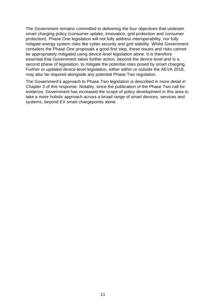The Government remains committed to delivering the four objectives that underpin mitigate energy system risks like cyber security and grid stability. Whilst Government be appropriately mitigated using device-level legislation alone. It is therefore essential that Government takes further action, beyond the device level and in a second phase of legislation, to mitigate the potential risks posed by smart charging. smart charging policy (consumer uptake, innovation, grid protection and consumer protection). Phase One legislation will not fully address interoperability, nor fully considers the Phase One proposals a good first step, these issues and risks cannot Further or updated device-level legislation, either within or outside the AEVA 2018, may also be required alongside any potential Phase Two regulation.

 take a more holistic approach across a broad range of smart devices, services and The Government's approach to Phase Two legislation is described in more detail in Chapter 3 of this response. Notably, since the publication of the Phase Two call for evidence, Government has increased the scope of policy development in this area to systems, beyond EV smart chargepoints alone.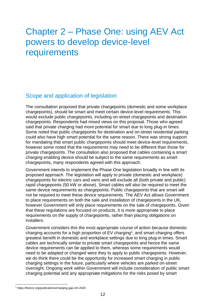## <span id="page-11-0"></span>Chapter 2 – Phase One: using AEV Act powers to develop device-level requirements

## <span id="page-11-1"></span>Scope and application of legislation

 chargepoints. Respondents had mixed views on this proposal. Those who agreed could also have high smart potential for the same reason. There was strong support however some noted that the requirements may need to be different than those for The consultation proposed that private chargepoints (domestic and some workplace chargepoints), should be smart and meet certain device-level requirements. This would exclude public chargepoints, including on-street chargepoints and destination said that private charging had more potential for smart due to long plug-in times. Some noted that public chargepoints for destination and on-street residential parking for mandating that smart public chargepoints should meet device-level requirements, private chargepoints. The consultation also proposed that cables containing a smart charging enabling device should be subject to the same requirements as smart chargepoints, many respondents agreed with this approach.

 Government intends to implement the Phase One legislation broadly in line with its not be required to meet these device requirements. The AEV Act allows Government proposed approach. The legislation will apply to private (domestic and workplace) chargepoints for electric cars and vans and will exclude all (both private and public) rapid chargepoints (50 kW or above). Smart cables will also be required to meet the same device requirements as chargepoints. Public chargepoints that are smart will to place requirements on both the sale and installation of chargepoints in the UK, however Government will only place requirements on the sale of chargepoints. Given that these regulations are focused on products, it is more appropriate to place requirements on the supply of chargepoints, rather than placing obligations on installers.

 need to be adapted or changed were they to apply to public chargepoints. However, Government considers this the most appropriate course of action because domestic charging accounts for a high proportion of  $EV$  charging<sup>1</sup>, and smart charging offers greatest benefit in domestic and workplace settings due to long plug-in times. Smart cables are technically similar to private smart chargepoints and hence the same device requirements can be applied to them, whereas some requirements would we do think there could be the opportunity for increased smart charging in public charging settings in the future, particularly where vehicles are parked on-street overnight. Ongoing work within Government will include consideration of public smart charging potential and any appropriate mitigations for the risks posed by smart

<sup>1</sup> <https://theicct.org/publications/charging-gap-UK-2020>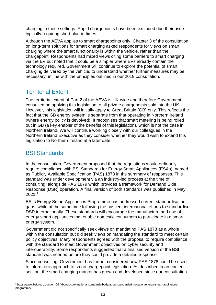charging in these settings. Rapid chargepoints have been excluded due their users typically requiring short plug-in times.

 via the EV but noted that it could be a simpler where EVs already contain the technology required. Government will continue to explore the potential of smart necessary, in line with the principles outlined in our 2019 consultation. Although the AEVA applies to smart chargepoints only, Chapter 3 of the consultation on long-term solutions for smart charging asked respondents for views on smart charging where the smart functionality is within the vehicle, rather than the chargepoint. Respondents had mixed views citing some barriers to smart charging charging delivered by the vehicle, to understand whether further measures may be

## Territorial Extent

 Northern Ireland Executive as they consider whether they would wish to extend this The territorial extent of Part 2 of the AEVA is UK-wide and therefore Government consulted on applying this legislation to all private chargepoints sold into the UK. However, this legislation will initially apply to Great Britain (GB) only. This reflects the fact that the GB energy system is separate from that operating in Northern Ireland (where energy policy is devolved). It recognises that smart metering is being rolled out in GB (a key enabler of the benefits of this legislation), which is not the case in Northern Ireland. We will continue working closely with our colleagues in the legislation to Northern Ireland at a later date.

## <span id="page-12-0"></span>BSI Standards

 standard was under development via an industry-led process at the time of In the consultation, Government proposed that the regulations would ordinarily require compliance with BSI Standards for Energy Smart Appliances (ESAs), named as Publicly Available Specification (PAS) 1878 in the summary of responses. This consulting, alongside PAS 1879 which provides a framework for Demand Side Response (DSR) operation. A final version of both standards was published in May  $2021.<sup>2</sup>$ 

BSI's Energy Smart Appliances Programme has addressed current standardisation gaps, while at the same time following the nascent international efforts to standardise DSR internationally. These standards will encourage the manufacture and use of energy smart appliances that enable domestic consumers to participate in a smart energy system.

Government did not specifically seek views on mandating PAS 1878 as a whole within the consultation but did seek views on mandating the standard to meet certain policy objectives. Many respondents agreed with the proposal to require compliance with the standard to meet Government objectives on cyber security and interoperability. Some respondents suggested that a finalised version of the BSI standard was needed before they could provide a detailed response.

 Since consulting, Government has further considered how PAS 1878 could be used section, the smart charging market has grown and developed since our consultation to inform our approach to smart chargepoint legislation. As described in an earlier

<sup>2</sup> <https://www.bsigroup.com/en-GB/about-bsi/uk-national-standards-body/about-standards/Innovation/energy-smart-appliances>programme/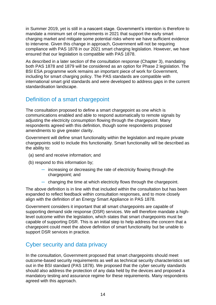in Summer 2019, yet is still in a nascent stage. Government's intention is therefore to mandate a minimum set of requirements in 2021 that support the early smart charging market and mitigate some potential risks where we have sufficient evidence to intervene. Given this change in approach, Government will not be requiring compliance with PAS 1878 in our 2021 smart charging legislation. However, we have ensured that our legislation is compatible with PAS 1878.

 both PAS 1878 and 1879 will be considered as an option for Phase 2 legislation. The As described in a later section of the consultation response (Chapter 3), mandating BSI ESA programme work remains an important piece of work for Government, including for smart charging policy. The PAS standards are compatible with international smart grid standards and were developed to address gaps in the current standardisation landscape.

### <span id="page-13-0"></span>Definition of a smart chargepoint

 The consultation proposed to define a smart chargepoint as one which is adjusting the electricity consumption flowing through the chargepoint. Many communications enabled and able to respond automatically to remote signals by respondents agreed with this definition, though some respondents proposed amendments to give greater clarity.

 Government will define smart functionality within the legislation and require private chargepoints sold to include this functionality. Smart functionality will be described as the ability to:

- (a) send and receive information; and
- (b) respond to this information by;
	- $-$  increasing or decreasing the rate of electricity flowing through the chargepoint; and
	- $-$  changing the time at which electricity flows through the chargepoint.

 align with the definition of an Energy Smart Appliance in PAS 1878. The above definition is in line with that included within the consultation but has been expanded to reflect feedback within consultation responses, and to more closely

 chargepoint could meet the above definition of smart functionality but be unable to Government considers it important that all smart chargepoints are capable of supporting demand side response (DSR) services. We will therefore mandate a highlevel outcome within the legislation, which states that smart chargepoints must be capable of supporting DSR. This is an initial step to help address the concern that a support DSR services in practice.

### <span id="page-13-1"></span>Cyber security and data privacy

 should also address the protection of any data held by the devices and proposed a mandatory testing and assurance regime for these requirements. Many respondents In the consultation, Government proposed that smart chargepoints should meet outcome-based security requirements as well as technical security characteristics set out in the BSI standard (PAS 1878). We proposed that the cyber security standards agreed with this approach.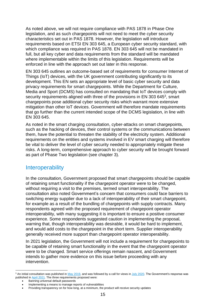As noted above, we will not require compliance with PAS 1878 in Phase One legislation, and as such chargepoints will not need to meet the cyber security characteristics set out in PAS 1878. However, the legislation will introduce requirements based on ETSI EN 303 645, a European cyber security standard, with which compliance was required in PAS 1878. EN 303 645 will not be mandated in full, but all key cyber and data requirements from the standard will be mandated where implementable within the limits of this legislation. Requirements will be enforced in line with the approach set out later in this response.

 Media and Sport (DCMS) has consulted on mandating that IoT devices comply with EN 303 645 outlines an outcome-based set of requirements for consumer Internet of Things (IoT) devices, with the UK government contributing significantly to its development. This EN sets an appropriate level of basic cyber security and data privacy requirements for smart chargepoints. While the Department for Culture, security requirements aligned with three of the provisions in EN 303 6453, smart chargepoints pose additional cyber security risks which warrant more extensive mitigation than other IoT devices. Government will therefore mandate requirements that go further than the current intended scope of the DCMS legislation, in line with EN 303 645.

 such as the hacking of devices, their control systems or the communications between them, have the potential to threaten the stability of the electricity system. Additional As noted in the smart charging consultation, cyber-attacks on smart chargepoints, requirements on the entities and systems involved in EV smart charging will therefore be vital to deliver the level of cyber security needed to appropriately mitigate these risks. A long-term, comprehensive approach to cyber security will be brought forward as part of Phase Two legislation (see chapter 3).

#### <span id="page-14-0"></span>**Interoperability**

 of retaining smart functionality if the chargepoint operator were to be changed, consultation also noted Government's concern that consumers could face barriers to switching energy supplier due to a lack of interoperability of their smart chargepoint, In the consultation, Government proposed that smart chargepoints should be capable without requiring a visit to the premises, termed smart interoperability. The for example as a result of the bundling of chargepoints with supply contracts. Many respondents agreed with the proposed requirement of chargepoint operator interoperability, with many suggesting it is important to ensure a positive consumer experience. Some respondents suggested caution in implementing the proposal, warning that, though interoperability was desirable, it would be hard to implement, and would add costs to the chargepoint in the short term. Supplier interoperability generally received more support than chargepoint operator interoperability.

In 2021 legislation, the Government will not include a requirement for chargepoints to be capable of retaining smart functionality in the event that the chargepoint operator were to be changed. Smart service offerings remain nascent, and Government intends to gather more evidence on this issue before proceeding with any intervention.

 $^3$  An initial consultation was published in  $\underline{\sf{May 2019}}$ , and was followed by a call for views i[n July 2020.](https://www.gov.uk/government/publications/proposals-for-regulating-consumer-smart-product-cyber-security-call-for-views/proposals-for-regulating-consumer-smart-product-cyber-security-call-for-views#overview-of-proposed-legislative-approach) The Government's response was published i[n April 2021.](https://www.gov.uk/government/publications/regulating-consumer-smart-product-cyber-security-government-response) The three requirements proposed were:

<sup>•</sup> Banning universal default passwords

 • Implementing a means to manage reports of vulnerabilities

 • Providing transparency on for how long, at a minimum, the product will receive security updates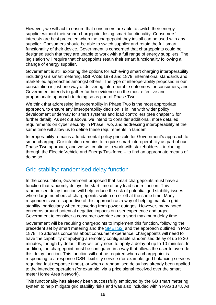interests are best protected when the chargepoint they install can be used with any designed such that they are unable to work with a full range of energy suppliers. The legislation will require that chargepoints retain their smart functionality following a However, we will act to ensure that consumers are able to switch their energy supplier without their smart chargepoint losing smart functionality. Consumers' supplier. Consumers should be able to switch supplier and retain the full smart functionality of their device. Government is concerned that chargepoints could be change of energy supplier.

 including GB smart metering, BSI PASs 1878 and 1879, international standards and Government is still exploring the options for achieving smart charging interoperability, market-led approaches amongst others. The type of interoperability proposed in our consultation is just one way of delivering interoperable outcomes for consumers, and Government intends to gather further evidence on the most effective and proportionate approach to doing so as part of Phase Two.

We think that addressing interoperability in Phase Two is the most appropriate approach, to ensure any interoperability decision is in line with wider policy development underway for smart systems and load controllers (see chapter 3 for further detail). As set out above, we intend to consider additional, more detailed requirements on cyber security in Phase Two, and addressing interoperability at the same time will allow us to define these requirements in tandem.

Interoperability remains a fundamental policy principle for Government's approach to smart charging. Our intention remains to require smart interoperability as part of our Phase Two approach, and we will continue to work with stakeholders – including through the Electric Vehicle and Energy Taskforce – to find an appropriate means of doing so.

### <span id="page-15-0"></span>Grid stability: randomised delay function

 concerns around potential negative impacts on user experience and urged In the consultation, Government proposed that smart chargepoints must have a function that randomly delays the start time of any load control action. This randomised delay function will help reduce the risk of potential grid stability issues where large numbers of chargepoints switch on or off at the same time. Many respondents were supportive of this approach as a way of helping maintain grid stability, particularly when recovering from power outages. However, many noted Government to consider a consumer override and a short maximum delay time.

 have the capability of applying a remotely configurable randomised delay of up to 30 responding to a response DSR flexibility service (for example, grid balancing services Government will be requiring chargepoints to implement this function, following the precedent set by smart metering and the [SMETS2,](https://assets.publishing.service.gov.uk/government/uploads/system/uploads/attachment_data/file/68898/smart_meters_equipment_technical_spec_version_2.pdf) and the approach outlined in PAS 1878. To address concerns about consumer experience, chargepoints will need to minutes, though by default they will only need to apply a delay of up to 10 minutes. In addition, the chargepoint must be configured in a way that allows the user to override this delay function. This function will not be required when a chargepoint is requiring fast response times), or when a randomised delay has already been applied to the intended operation (for example, via a price signal received over the smart meter Home Area Network).

This functionality has already been successfully employed by the GB smart metering system to help mitigate grid stability risks and was also included within PAS 1878. As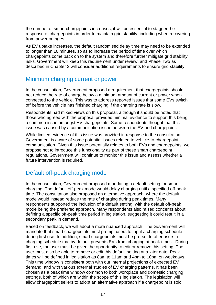the number of smart chargepoints increases, it will be essential to stagger the response of chargepoints in order to maintain grid stability, including when recovering from power outages.

 As EV uptake increases, the default randomised delay time may need to be extended to longer than 10 minutes, so as to increase the period of time over which chargepoints come back on to the system and therefore further mitigate grid stability risks. Government will keep this requirement under review, and Phase Two as described in Chapter 3 will consider additional requirements to ensure grid stability.

#### <span id="page-16-0"></span>Minimum charging current or power

 not reduce the rate of charge below a minimum amount of current or power when In the consultation, Government proposed a requirement that chargepoints should connected to the vehicle. This was to address reported issues that some EVs switch off before the vehicle has finished charging if the charging rate is slow.

Respondents had mixed views on this proposal, although it should be noted that those who agreed with the proposal provided minimal evidence to support this being a common issue amongst EV chargepoints. Some respondents thought that this issue was caused by a communication issue between the EV and chargepoint.

 While limited evidence of this issue was provided in response to the consultation, communication. Given this issue potentially relates to both EVs and chargepoints, we Government is aware of some potential issues related to vehicle-to-chargepoint propose not to introduce this functionality as part of these smart chargepoint regulations. Government will continue to monitor this issue and assess whether a future intervention is required.

### <span id="page-16-1"></span>Default off-peak charging mode

In the consultation, Government proposed mandating a default setting for smart charging. The default off-peak mode would delay charging until a specified off-peak time. The consultation also proposed an alternative approach, where the default mode would instead reduce the rate of charging during peak times. Many respondents supported the inclusion of a default setting, with the default off-peak mode being the preferred approach. Many respondents also raised concerns about defining a specific off-peak time period in legislation, suggesting it could result in a secondary peak in demand.

 first use, the user must be given the opportunity to edit or remove this setting. The chosen as a peak time window common to both workplace and domestic charging settings, both of which are within the scope of this legislation. The legislation will Based on feedback, we will adopt a more nuanced approach. The Government will mandate that smart chargepoints must prompt users to input a charging schedule during first use. In addition, smart chargepoints must be pre-set to offer users a charging schedule that by default prevents EVs from charging at peak times. During user must also be able to remove or edit this default setting at a later date. Peak times will be defined in legislation as 8am to 11am and 4pm to 10pm on weekdays. This time window is consistent both with our internal projections of expected EV demand, and with various external studies of EV charging patterns. It has been allow chargepoint sellers to adopt an alternative approach if a chargepoint is sold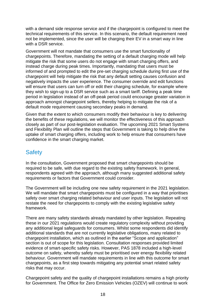with a demand side response service and if the chargepoint is configured to meet the technical requirements of this service. In this scenario, the default requirement need not be implemented, since the user will be charging their EV in a smart way in line with a DSR service.

 instead charge during peak times. Importantly, mandating that users must be they wish to sign-up to a DSR service such as a smart tariff. Defining a peak time Government will not mandate that consumers use the smart functionality of chargepoints. Therefore, mandating the setting of a default charging mode will help mitigate the risk that some users do not engage with smart charging offers, and informed of and prompted to edit the pre-set charging schedule during first use of the chargepoint will help mitigate the risk that any default setting causes confusion and negatively impacts the user experience. The consumer override and edit functions will ensure that users can turn off or edit their charging schedule, for example where period in legislation instead of an off-peak period could encourage greater variation in approach amongst chargepoint sellers, thereby helping to mitigate the risk of a default mode requirement causing secondary peaks in demand.

 Given that the extent to which consumers modify their behaviour is key to delivering the benefits of these regulations, we will monitor the effectiveness of this approach closely as part of our post-legislation evaluation. The upcoming 2021 Smart Systems and Flexibility Plan will outline the steps that Government is taking to help drive the uptake of smart charging offers, including work to help ensure that consumers have confidence in the smart charging market.

#### <span id="page-17-0"></span>**Safety**

 In the consultation, Government proposed that smart chargepoints should be required to be safe, with due regard to the existing safety framework. In general, respondents agreed with the approach, although many suggested additional safety requirements or factors that Government could consider.

The Government will be including one new safety requirement in the 2021 legislation. We will mandate that smart chargepoints must be configured in a way that prioritises safety over smart charging related behaviour and user inputs. The legislation will not restate the need for chargepoints to comply with the existing legislative safety framework.

There are many safety standards already mandated by other legislation. Repeating these in our 2021 regulations would create regulatory complexity without providing any additional legal safeguards for consumers. Whilst some respondents did identify additional standards that are not currently legislative obligations, many related to chargepoint installation, which as outlined in the earlier "Scope and application" section is out of scope for this legislation. Consultation responses provided limited evidence of smart-specific safety risks. However, PAS 1878 included a high-level outcome on safety, whereby safety must be prioritised over energy flexibility related behaviour. Government will mandate requirements in line with this outcome for smart chargepoints, as a first step towards mitigating any potential smart related safety risks that may occur.

Chargepoint safety and the quality of chargepoint installations remains a high priority for Government. The Office for Zero Emission Vehicles (OZEV) will continue to work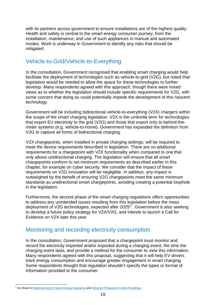installation, maintenance, and use of such appliances in manual and automated with its partners across government to ensure installations are of the highest quality. Health and safety is central to the smart energy consumer journey, from the modes. Work is underway in Government to identify any risks that should be mitigated.

### <span id="page-18-0"></span>Vehicle-to-Grid/Vehicle-to-Everything

In the consultation, Government recognised that enabling smart charging would help facilitate the deployment of technologies such as vehicle-to-grid (V2G), but noted that legislation would be needed to allow the space for these technologies to further develop. Many respondents agreed with this approach, though there were mixed views as to whether the legislation should include specific requirements for V2G, with some concern that doing so could potentially impede the development of this nascent technology.

Government will be including bidirectional vehicle-to-everything (V2X) chargers within the scope of the smart charging legislation. V2X is the umbrella term for technologies that export EV electricity to the grid (V2G) and those that export only to behind-themeter systems (e.g. vehicle-to-home). Government has expanded the definition from V2G to capture all forms of bidirectional charging.

V2X chargepoints, when installed in private charging settings, will be required to meet the device requirements described in legislation. There are no additional requirements for a chargepoint with V2X functionality when compared to one that only allows unidirectional charging. The legislation will ensure that all smart chargepoints conform to set minimum requirements as described earlier in this chapter, for example on cyber security. We consider that the impact of these requirements on V2G innovation will be negligible. In addition, any impact is outweighed by the benefit of ensuring V2G chargepoints meet the same minimum standards as unidirectional smart chargepoints, avoiding creating a potential loophole in the legislation.

Evidence on V2X later this year. Furthermore, the second phase of the smart charging regulations offers opportunities to address any unintended issues resulting from this legislation before the mass deployment of V2G technologies, expected after 20254. Government is also seeking to develop a future policy strategy for V2X/V2G, and intends to launch a Call for

#### <span id="page-18-1"></span>Monitoring and recording electricity consumption

 record the electricity imported and/or exported during a charging event, the time the charging event lasts, and provide a method for the consumer to view this information. In the consultation, Government proposed that a chargepoint must monitor and Many respondents agreed with this proposal, suggesting that it will help EV drivers track energy consumption and encourage greater engagement in smart charging. Some respondents thought that regulation shouldn't specify the types or format of information provided to the consumer.

<sup>&</sup>lt;sup>4</sup> As shown in [National Grid's](https://www.nationalgrideso.com/future-energy/future-energy-scenarios/fes-2020-documents) Future Energy Scenarios and [Advance Propulsion Centre Roadmap.](https://www.apcuk.co.uk/technology-roadmaps/)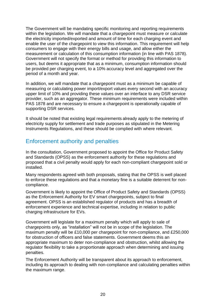measurement or calculation of this consumption information (in line with PAS 1878). The Government will be mandating specific monitoring and reporting requirements within the legislation. We will mandate that a chargepoint must measure or calculate the electricity imported/exported and amount of time for each charging event and enable the user of the chargepoint to view this information. This requirement will help consumers to engage with their energy bills and usage, and allow either the Government will not specify the format or method for providing this information to users, but deems it appropriate that as a minimum, consumption information should be provided per charging event, to a 10% accuracy level and aggregated over the period of a month and year.

 In addition, we will mandate that a chargepoint must as a minimum be capable of upper limit of 10% and providing these values over an interface to any DSR service measuring or calculating power import/export values every second with an accuracy provider, such as an aggregator. These minimum requirements were included within PAS 1878 and are necessary to ensure a chargepoint is operationally capable of supporting DSR services.

 electricity supply for settlement and trade purposes as stipulated in the Metering Instruments Regulations, and these should be complied with where relevant. It should be noted that existing legal requirements already apply to the metering of

#### <span id="page-19-0"></span>Enforcement authority and penalties

 In the consultation, Government proposed to appoint the Office for Product Safety and Standards (OPSS) as the enforcement authority for these regulations and proposed that a civil penalty would apply for each non-compliant chargepoint sold or installed.

 to enforce these regulations and that a monetary fine is a suitable deterrent for non-Many respondents agreed with both proposals, stating that the OPSS is well placed compliance.

Government is likely to appoint the Office of Product Safety and Standards (OPSS) as the Enforcement Authority for EV smart chargepoints, subject to final agreement. OPSS is an established regulator of products and has a breadth of enforcement experience and technical expertise, including in relation to public charging infrastructure for EVs.

 Government will legislate for a maximum penalty which will apply to sale of chargepoints only, as "installation" will not be in scope of the legislation. The maximum penalty will be £10,000 per chargepoint for non-compliance, and £250,000 for obstruction of officers and false statements. Government deems this an appropriate maximum to deter non-compliance and obstruction, whilst allowing the regulator flexibility to take a proportionate approach when determining and issuing penalties.

The Enforcement Authority will be transparent about its approach to enforcement, including its approach to dealing with non-compliance and calculating penalties within the maximum range.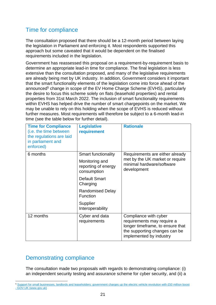### <span id="page-20-0"></span>Time for compliance

 The consultation proposed that there should be a 12-month period between laying the legislation in Parliament and enforcing it. Most respondents supported this approach but some caveated that it would be dependent on the finalised requirements included in the legislation.

announced<sup>5</sup> change in scope of the EV Home Charge Scheme (EVHS), particularly further measures. Most requirements will therefore be subject to a 6-month lead-in Government has reassessed this proposal on a requirement-by-requirement basis to determine an appropriate lead-in time for compliance. The final legislation is less extensive than the consultation proposed, and many of the legislative requirements are already being met by UK industry. In addition, Government considers it important that the smart functionality elements of the legislation come into force ahead of the the desire to focus this scheme solely on flats (leasehold properties) and rental properties from 31st March 2022. The inclusion of smart functionality requirements within EVHS has helped drive the number of smart chargepoints on the market. We may be unable to rely on this holding when the scope of EVHS is reduced without time (see the table below for further detail).

| <b>Time for Compliance</b><br>(i.e. the time between<br>the regulations are laid<br>in parliament and<br>enforced) | <b>Legislative</b><br>requirement                    | <b>Rationale</b>                                                                                                                                    |
|--------------------------------------------------------------------------------------------------------------------|------------------------------------------------------|-----------------------------------------------------------------------------------------------------------------------------------------------------|
| 6 months                                                                                                           | <b>Smart functionality</b>                           | Requirements are either already<br>met by the UK market or require<br>minimal hardware/software<br>development                                      |
|                                                                                                                    | Monitoring and<br>reporting of energy<br>consumption |                                                                                                                                                     |
|                                                                                                                    | Default Smart<br>Charging                            |                                                                                                                                                     |
|                                                                                                                    | <b>Randomised Delay</b><br><b>Function</b>           |                                                                                                                                                     |
|                                                                                                                    | Supplier<br>Interoperability                         |                                                                                                                                                     |
| 12 months                                                                                                          | Cyber and data<br>requirements                       | Compliance with cyber<br>requirements may require a<br>longer timeframe, to ensure that<br>the supporting changes can be<br>implemented by industry |

### <span id="page-20-1"></span>Demonstrating compliance

The consultation made two proposals with regards to demonstrating compliance: (i) an independent security testing and assurance scheme for cyber security, and (ii) a

<sup>&</sup>lt;sup>5</sup> Support for small businesses, landlords and leaseholders: government charges up the electric vehicle revolution with £50 million boost - [GOV.UK \(www.gov.uk\)](https://www.gov.uk/government/news/support-for-small-businesses-landlords-and-leaseholders-government-charges-up-the-electric-vehicle-revolution-with-50-million-boost)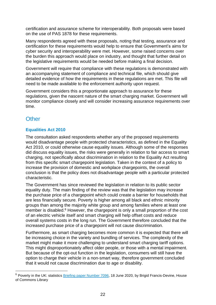on the use of PAS 1878 for these requirements. certification and assurance scheme for interoperability. Both proposals were based

Many respondents agreed with these proposals, noting that testing, assurance and certification for these requirements would help to ensure that Government's aims for cyber security and interoperability were met. However, some raised concerns over the burden this approach would place on industry, and thought that further detail on the legislative requirements would be needed before making a final decision.

Government will require that compliance with these regulations is demonstrated with an accompanying statement of compliance and technical file, which should give detailed evidence of how the requirements in these regulations are met. This file will need to be made available to the enforcement authority upon request.

 Government considers this a proportionate approach to assurance for these regulations, given the nascent nature of the smart charging market. Government will monitor compliance closely and will consider increasing assurance requirements over time.

## <span id="page-21-0"></span>**Other**

#### **Equalities Act 2010**

 from this specific smart chargepoint legislation. Taken in the context of a policy to increase the provision of domestic and workplace chargepoints, the overall The consultation asked respondents whether any of the proposed requirements would disadvantage people with protected characteristics, as defined in the Equality Act 2010, or could otherwise cause equality issues. Although some of the responses did discuss equality issues, the risks were generally in relation to fair access to smart charging, not specifically about discrimination in relation to the Equality Act resulting conclusion is that the policy does not disadvantage people with a particular protected characteristic.

 increased purchase price of a chargepoint will not cause discrimination. The Government has since reviewed the legislation in relation to its public sector equality duty. The main finding of the review was that the legislation may increase the purchase price of a chargepoint which could create a barrier for households that are less financially secure. Poverty is higher among all black and ethnic minority groups than among the majority white group and among families where at least one member is disabled. 6 However, the chargepoint is only a small proportion of the cost of an electric vehicle itself and smart charging will help offset costs and reduce overall systems costs in the long run. The Government therefore concluded that the

 But because of the opt-out function in the legislation, consumers will still have the Furthermore, as smart charging becomes more common it is expected that there will be increasing choice in the variety and bundling of services. The complexity of the market might make it more challenging to understand smart charging tariff options. This might disproportionately affect older people, or those with a mental impairment. option to charge their vehicle in a non-smart way, therefore government concluded that it would not cause discrimination due to age or disability.

 $6$  Poverty in the UK: statistics **Briefing paper Number 7096**, 18 June 2020, by Brigid Francis-Devine, House of Commons Library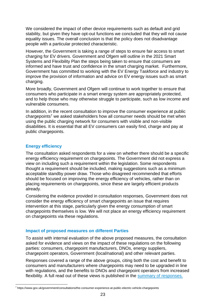We considered the impact of other device requirements such as default and grid stability, but given they have opt-out functions we concluded that they will not cause equality issues. The overall conclusion is that the policy does not disadvantage people with a particular protected characteristic.

 However, the Government is taking a range of steps to ensure fair access to smart Systems and Flexibility Plan the steps being taken to ensure that consumers are informed and have trust and confidence in the smart charging market. Furthermore, charging for EV drivers. Government and Ofgem will outline in the 2021 Smart Government has committed to working with the EV Energy Taskforce and industry to improve the provision of information and advice on EV energy issues such as smart charging.

 and to help those who may otherwise struggle to participate, such as low income and More broadly, Government and Ofgem will continue to work together to ensure that consumers who participate in a smart energy system are appropriately protected, vulnerable consumers.

chargepoints<sup>7</sup> we asked stakeholders how all consumer needs should be met when In addition, in the recent consultation to improve the consumer experience at public using the public charging network for consumers with visible and non-visible disabilities. It is essential that all EV consumers can easily find, charge and pay at public chargepoints.

#### **Energy efficiency**

The consultation asked respondents for a view on whether there should be a specific energy efficiency requirement on chargepoints. The Government did not express a view on including such a requirement within the legislation. Some respondents thought a requirement should be included, making suggestions such as a minimum acceptable standby power draw. Those who disagreed recommended that efforts should be focused on improving the energy efficiency of vehicles, rather than on placing requirements on chargepoints, since these are largely efficient products already.

Considering the evidence provided in consultation responses, Government does not consider the energy efficiency of smart chargepoints an issue that requires intervention at this stage, particularly given the energy consumption of smart chargepoints themselves is low. We will not place an energy efficiency requirement on chargepoints via these regulations.

#### **Impact of proposed measures on different Parties**

 To assist with internal evaluation of the above proposed measures, the consultation asked for evidence and views on the impact of these regulations on the following parties: consumers, chargepoint manufacturers, DNOs, energy suppliers, chargepoint operators, Government (local/national) and other relevant parties.

 Responses covered a range of the above groups, citing both the cost and benefit to consumers and manufacturers where chargepoints may need to be upgraded in line with regulations, and the benefits to DNOs and chargepoint operators from increased flexibility. A full read out of these views is published in the [summary of responses.](https://www.gov.uk/government/consultations/electric-vehicle-smart-charging/public-feedback/electric-vehicle-smart-charging-consultation-summary-of-responses#chapter-2---phase-one-using-the-aev-act-powers-to-develop-device-level-requirements) 

<sup>7</sup> <https://www.gov.uk/government/consultations/the-consumer-experience-at-public-electric-vehicle-chargepoints>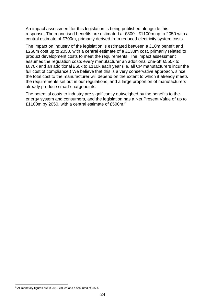An impact assessment for this legislation is being published alongside this response. The monetised benefits are estimated at £300 - £1100m up to 2050 with a central estimate of £700m, primarily derived from reduced electricity system costs.

 the total cost to the manufacturer will depend on the extent to which it already meets the requirements set out in our regulations, and a large proportion of manufacturers The impact on industry of the legislation is estimated between a £10m benefit and £260m cost up to 2050, with a central estimate of a £130m cost, primarily related to product development costs to meet the requirements. The impact assessment assumes the regulation costs every manufacturer an additional one-off £550k to £870k and an additional £60k to £110k each year (i.e. all CP manufacturers incur the full cost of compliance.) We believe that this is a very conservative approach, since already produce smart chargepoints.

 The potential costs to industry are significantly outweighed by the benefits to the energy system and consumers, and the legislation has a Net Present Value of up to £1100m by 2050, with a central estimate of £500m.<sup>8</sup>

<sup>&</sup>lt;sup>8</sup> All monetary figures are in 2012 values and discounted at 3.5%.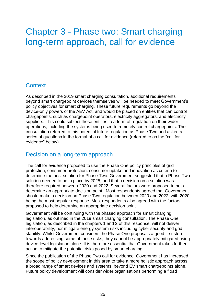## <span id="page-24-0"></span>Chapter 3 - Phase two: Smart charging long-term approach, call for evidence

#### **Context**

As described in the 2019 smart charging consultation, additional requirements beyond smart chargepoint devices themselves will be needed to meet Government's policy objectives for smart charging. These future requirements go beyond the device-only powers of the AEV Act, and would be placed on entities that can control chargepoints, such as chargepoint operators, electricity aggregators, and electricity suppliers. This could subject these entities to a form of regulation on their wider operations, including the systems being used to remotely control chargepoints. The consultation referred to this potential future regulation as Phase Two and asked a series of questions in the format of a call for evidence (referred to as the "call for evidence" below).

#### Decision on a long-term approach

 therefore required between 2020 and 2022. Several factors were proposed to help determine an appropriate decision point. Most respondents agreed that Government should make a decision on Phase Two regulation between 2020 and 2022, with 2020 proposed to help determine an appropriate decision point. The call for evidence proposed to use the Phase One policy principles of grid protection, consumer protection, consumer uptake and innovation as criteria to determine the best solution for Phase Two. Government suggested that a Phase Two solution needed to be in place by 2025, and that a decision on a solution was being the most popular response. Most respondents also agreed with the factors

 legislation, as outlined in the 2019 smart charging consultation. The Phase One stability. Whilst Government considers the Phase One proposals a good first step action to mitigate the potential risks posed by smart charging. Government will be continuing with the phased approach for smart charging legislation, as described in the chapters 1 and 2 of this response, will not deliver interoperability, nor mitigate energy system risks including cyber security and grid towards addressing some of these risks, they cannot be appropriately mitigated using device-level legislation alone. It is therefore essential that Government takes further

 Since the publication of the Phase Two call for evidence, Government has increased Future policy development will consider wider organisations performing a "load the scope of policy development in this area to take a more holistic approach across a broad range of smart devices and systems, beyond EV smart chargepoints alone.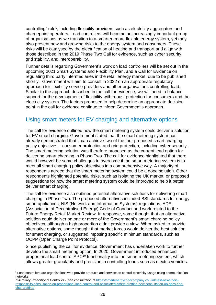of organisations as we transition to a smarter, more flexible energy system, yet they risks will be catalysed by the electrification of heating and transport and align with controlling" role<sup>9</sup>, including flexibility providers such as electricity aggregators and chargepoint operators. Load controllers will become an increasingly important group also present new and growing risks to the energy system and consumers. These those described in the 2019 Phase Two Call for evidence, such as cyber security, grid stability, and interoperability.

Further details regarding Government's work on load controllers will be set out in the upcoming 2021 Smart Systems and Flexibility Plan, and a Call for Evidence on regulating third party intermediaries in the retail energy market, due to be published shortly. Government will aim to consult in 2022 on an appropriate regulatory approach for flexibility service providers and other organisations controlling load. Similar to the approach described in the call for evidence, we will need to balance support for the development of flexibility with robust protection for consumers and the electricity system. The factors proposed to help determine an appropriate decision point in the call for evidence continue to inform Government's approach.

#### Using smart meters for EV charging and alternative options

The call for evidence outlined how the smart metering system could deliver a solution for EV smart charging. Government stated that the smart metering system has already demonstrated that it can achieve two of the four proposed smart charging policy objectives – consumer protection and grid protection, including cyber security. The smart metering solution was therefore proposed as the current lead option for delivering smart charging in Phase Two. The call for evidence highlighted that there would however be some challenges to overcome if the smart metering system is to meet all smart charging policy objectives in a comprehensive way. A majority of respondents agreed that the smart metering system could be a good solution. Other respondents highlighted potential risks, such as isolating the UK market, or proposed suggestions for how the smart metering system could be improved to help it better deliver smart charging.

 (Association of Decentralised Energy) Code of Conduct and work related to the objectives, although a high proportion didn't provide a view. When asked to provide OCPP (Open Charge Point Protocol). The call for evidence also outlined potential alternative solutions for delivering smart charging in Phase Two. The proposed alternatives included BSI standards for energy smart appliances, NIS (Network and Information Systems) regulations, ADE Future Energy Retail Market Review. In response, some thought that an alternative solution could deliver on one or more of the Government's smart charging policy alternative options, some thought that market forces would deliver the best solution for smart charging, or suggested imposing specific minimum standards, such as

Since publishing the call for evidence, Government has undertaken work to further develop the smart metering option. In 2020, Government introduced enhanced proportional load control APC10 functionality into the smart metering system, which allows greater granularity and precision in controlling loads such as electric vehicles.

<sup>10</sup> Auxiliary Proportional Controller - see consultation at [https://smartenergycodecompany.co.uk/latest-news/beis](https://smartenergycodecompany.co.uk/latest-news/beis-response-to-consultation-on-proportional-load-control-and-associated-smets-drafting-new-consultation-on-gbcs-and-chts-drafting/)[response-to-consultation-on-proportional-load-control-and-associated-smets-drafting-new-consultation-on-gbcs-and](https://smartenergycodecompany.co.uk/latest-news/beis-response-to-consultation-on-proportional-load-control-and-associated-smets-drafting-new-consultation-on-gbcs-and-chts-drafting/)[chts-drafting/](https://smartenergycodecompany.co.uk/latest-news/beis-response-to-consultation-on-proportional-load-control-and-associated-smets-drafting-new-consultation-on-gbcs-and-chts-drafting/) 

<sup>&</sup>lt;sup>9</sup> Load controllers are organisations who provide products and services to control electricity usage using communication networks.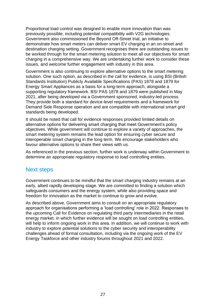be worked through for the smart metering solution to meet all our objectives for smart Proportional load control was designed to enable more innovation than was previously possible, including potential compatibility with V2G technologies. Government also commissioned the Beyond Off-Street trial, an initiative to demonstrate how smart meters can deliver smart EV charging in an on-street and destination charging setting. Government recognises there are outstanding issues to charging in a comprehensive way. We are undertaking further work to consider these issues, and welcome further engagement with industry in this area.

 Standards Institution) Publicly Available Specifications (PAS) 1878 and 1879 for Energy Smart Appliances as a basis for a long-term approach, alongside a Government is also continuing to explore alternative options to the smart metering solution. One such option, as described in the call for evidence, is using BSI (British supporting regulatory framework. BSI PAS 1878 and 1879 were published in May 2021, after being developed via a Government sponsored, industry-led process. They provide both a standard for device-level requirements and a framework for Demand Side Response operation and are compatible with international smart grid standards being developed.

 objectives. While government will continue to explore a variety of approaches, the It should be noted that call for evidence responses provided limited details on alternative options for delivering smart charging that meet Government's policy smart metering system remains the lead option for ensuring cyber secure and interoperable smart charging in the long term. We encourage stakeholders who favour alternative options to share their views with us.

As referenced in the previous section, further work is underway within Government to determine an appropriate regulatory response to load controlling entities.

#### Next steps

 early, albeit rapidly developing stage. We are committed to finding a solution which Government continues to be mindful that the smart charging industry remains at an safeguards consumers and the energy system, while also providing space and freedom for innovation as the market to continue to grow and evolve.

 approach for organisations performing a 'load controlling' role in 2022. Responses to challenges ahead of formal consultation, including via the ongoing work of the EV As described above, Government aims to consult on an appropriate regulatory the upcoming Call for Evidence on regulating third party intermediaries in the retail energy market, in which further evidence will be sought on load controlling entities, will help to inform ongoing work in this area. In addition, we will continue to work with industry to explore potential solutions to the cyber security and interoperability Energy Taskforce and other industry forums throughout 2021 and 2022.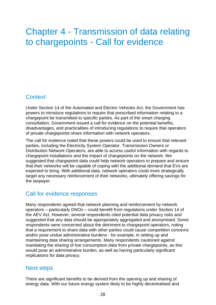## <span id="page-27-0"></span>Chapter 4 - Transmission of data relating to chargepoints - Call for evidence

## **Context**

 Under Section 14 of the Automated and Electric Vehicles Act, the Government has powers to introduce regulations to require that prescribed information relating to a chargepoint be transmitted to specific parties. As part of the smart charging consultation, Government issued a call for evidence on the potential benefits, disadvantages, and practicalities of introducing regulations to require that operators of private chargepoints share information with network operators.

 The call for evidence noted that these powers could be used to ensure that relevant expected to bring. With additional data, network operators could more strategically parties, including the Electricity System Operator, Transmission Owners or Distribution Network Operators, are able to access useful information with regards to chargepoint installations and the impact of chargepoints on the network. We suggested that chargepoint data could help network operators to prepare and ensure that their networks will be capable of coping with the additional demand that EVs are target any necessary reinforcement of their networks, ultimately offering savings for the taxpayer.

### Call for evidence responses

 and/or pose undue administrative burdens - for example, in setting up and Many respondents agreed that network planning and reinforcement by network operators – particularly DNOs – could benefit from regulations under Section 14 of the AEV Act. However, several respondents cited potential data privacy risks and suggested that any data should be appropriately aggregated and anonymised. Some respondents were concerned about the detriment to chargepoint operators, noting that a requirement to share data with other parties could cause competition concerns maintaining data sharing arrangements. Many respondents cautioned against mandating the sharing of live consumption data from private chargepoints, as this would pose an administrative burden, as well as having particularly significant implications for data privacy.

#### Next steps

 There are significant benefits to be derived from the opening up and sharing of energy data. With our future energy system likely to be highly decentralised and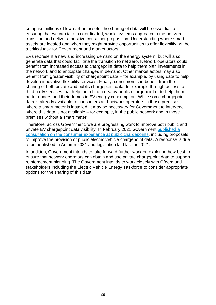comprise millions of low-carbon assets, the sharing of data will be essential to ensuring that we can take a coordinated, whole systems approach to the net-zero transition and deliver a positive consumer proposition. Understanding where smart assets are located and when they might provide opportunities to offer flexibility will be a critical task for Government and market actors.

 EVs represent a new and increasing demand on the energy system, but will also benefit from increased access to chargepoint data to help them plan investments in benefit from greater visibility of chargepoint data – for example, by using data to help sharing of both private and public chargepoint data, for example through access to third party services that help them find a nearby public chargepoint or to help them generate data that could facilitate the transition to net zero. Network operators could the network and to anticipate changes in demand. Other market actors may also develop innovative flexibility services. Finally, consumers can benefit from the better understand their domestic EV energy consumption. While some chargepoint data is already available to consumers and network operators in those premises where a smart meter is installed, it may be necessary for Government to intervene where this data is not available – for example, in the public network and in those premises without a smart meter.

 [consultation on the consumer experience at public chargepoints,](https://www.gov.uk/government/consultations/the-consumer-experience-at-public-electric-vehicle-chargepoints/the-consumer-experience-at-public-chargepoints) including proposals Therefore, across Government, we are progressing work to improve both public and private EV chargepoint data visibility. In February 2021 Government [published a](https://www.gov.uk/government/consultations/the-consumer-experience-at-public-electric-vehicle-chargepoints/the-consumer-experience-at-public-chargepoints)  to improve the provision of public electric vehicle chargepoint data. A response is due to be published in Autumn 2021 and legislation laid later in 2021.

In addition, Government intends to take forward further work on exploring how best to ensure that network operators can obtain and use private chargepoint data to support reinforcement planning. The Government intends to work closely with Ofgem and stakeholders including the Electric Vehicle Energy Taskforce to consider appropriate options for the sharing of this data.